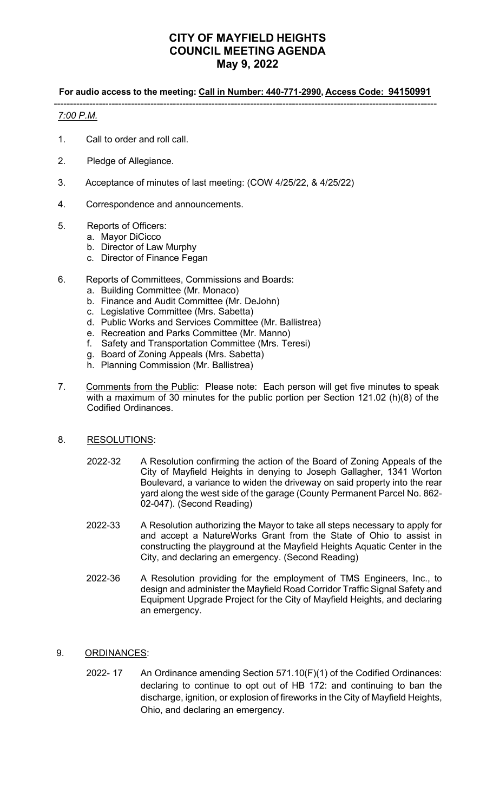# **CITY OF MAYFIELD HEIGHTS COUNCIL MEETING AGENDA May 9, 2022**

### **For audio access to the meeting: Call in Number: 440-771-2990, Access Code: 94150991**

-----------------------------------------------------------------------------------------------------------------------

# *7:00 P.M.*

- 1. Call to order and roll call.
- 2. Pledge of Allegiance.
- 3. Acceptance of minutes of last meeting: (COW 4/25/22, & 4/25/22)
- 4. Correspondence and announcements.
- 5. Reports of Officers:
	- a. Mayor DiCicco
	- b. Director of Law Murphy
	- c. Director of Finance Fegan
- 6. Reports of Committees, Commissions and Boards:
	- a. Building Committee (Mr. Monaco)
	- b. Finance and Audit Committee (Mr. DeJohn)
	- c. Legislative Committee (Mrs. Sabetta)
	- d. Public Works and Services Committee (Mr. Ballistrea)
	- e. Recreation and Parks Committee (Mr. Manno)
	- f. Safety and Transportation Committee (Mrs. Teresi)
	- g. Board of Zoning Appeals (Mrs. Sabetta)
	- h. Planning Commission (Mr. Ballistrea)
- 7. Comments from the Public: Please note: Each person will get five minutes to speak with a maximum of 30 minutes for the public portion per Section 121.02 (h)(8) of the Codified Ordinances.

#### 8. RESOLUTIONS:

- 2022-32 A Resolution confirming the action of the Board of Zoning Appeals of the City of Mayfield Heights in denying to Joseph Gallagher, 1341 Worton Boulevard, a variance to widen the driveway on said property into the rear yard along the west side of the garage (County Permanent Parcel No. 862- 02-047). (Second Reading)
- 2022-33 A Resolution authorizing the Mayor to take all steps necessary to apply for and accept a NatureWorks Grant from the State of Ohio to assist in constructing the playground at the Mayfield Heights Aquatic Center in the City, and declaring an emergency. (Second Reading)
- 2022-36 A Resolution providing for the employment of TMS Engineers, Inc., to design and administer the Mayfield Road Corridor Traffic Signal Safety and Equipment Upgrade Project for the City of Mayfield Heights, and declaring an emergency.
- 9. ORDINANCES:
	- 2022- 17 An Ordinance amending Section 571.10(F)(1) of the Codified Ordinances: declaring to continue to opt out of HB 172: and continuing to ban the discharge, ignition, or explosion of fireworks in the City of Mayfield Heights, Ohio, and declaring an emergency.